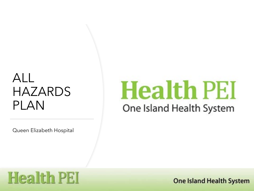## ALL HAZARDS PLAN

Queen Elizabeth Hospital

# **Health PEI** One Island Health System

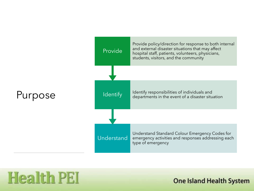

**Health PEI**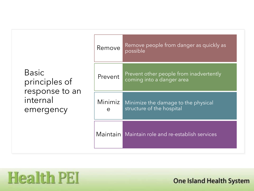| <b>Basic</b><br>principles of<br>response to an<br>internal<br>emergency | Remove                    | Remove people from danger as quickly as<br>possible                  |
|--------------------------------------------------------------------------|---------------------------|----------------------------------------------------------------------|
|                                                                          | Prevent                   | Prevent other people from inadvertently<br>coming into a danger area |
|                                                                          | Minimiz  <br>$\mathbf{e}$ | Minimize the damage to the physical<br>structure of the hospital     |
|                                                                          |                           | Maintain Maintain role and re-establish services                     |

**Health PEI**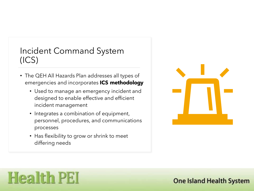### Incident Command System (ICS)

- The QEH All Hazards Plan addresses all types of emergencies and incorporates **ICS methodology** 
	- Used to manage an emergency incident and designed to enable effective and efficient incident management
	- Integrates a combination of equipment, personnel, procedures, and communications processes
	- Has flexibility to grow or shrink to meet differing needs



## **Health PEI**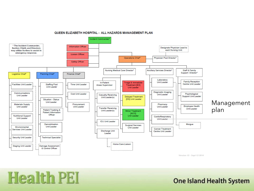

#### **QUEEN ELIZABETH HOSPITAL - ALL HAZARDS MANAGEMENT PLAN**

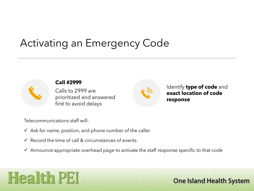### Activating an Emergency Code



Calls to 2999 are prioritized and answered first to avoid delays



Identify **type of code** and **exact location of code response**

Telecommunications staff will:

- $\checkmark$  Ask for name, position, and phone number of the caller
- $\checkmark$  Record the time of call & circumstances of events
- $\checkmark$  Announce appropriate overhead page to activate the staff response specific to that code

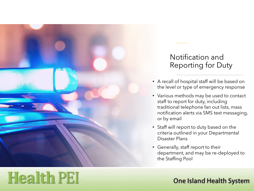

**Health PEI** 

### Notification and Reporting for Duty

- A recall of hospital staff will be based on the level or type of emergency response
- Various methods may be used to contact staff to report for duty, including traditional telephone fan out lists, mass notification alerts via SMS text messaging, or by email
- Staff will report to duty based on the criteria outlined in your Departmental Disaster Plans
- Generally, staff report to their department, and may be re-deployed to the Staffing Pool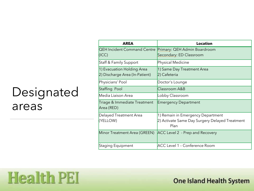## Designated areas

**Health PEI** 

| <b>AREA</b>                                                  | <b>Location</b>                                                                             |
|--------------------------------------------------------------|---------------------------------------------------------------------------------------------|
| <b>QEH Incident Command Centre</b><br>(ICC)                  | Primary: QEH Admin Boardroom<br>Secondary: ED Classroom                                     |
| Staff & Family Support                                       | Physical Medicine                                                                           |
| 1) Evacuation Holding Area<br>2) Discharge Area (In-Patient) | 1) Same Day Treatment Area<br>2) Cafeteria                                                  |
| Physicians' Pool                                             | Doctor's Lounge                                                                             |
| Staffing Pool                                                | Classroom A&B                                                                               |
| Media Liaison Area                                           | Lobby Classroom                                                                             |
| Triage & Immediate Treatment<br>Area (RED)                   | <b>Emergency Department</b>                                                                 |
| Delayed Treatment Area<br>(YELLOW)                           | 1) Remain in Emergency Department<br>2) Activate Same Day Surgery Delayed Treatment<br>Plan |
| Minor Treatment Area (GREEN)                                 | ACC Level 2 - Prep and Recovery                                                             |
| Staging Equipment                                            | <b>ACC Level 1 - Conference Room</b>                                                        |

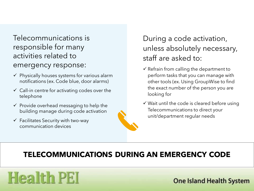### Telecommunications is responsible for many activities related to emergency response:

- $\checkmark$  Physically houses systems for various alarm notifications (ex. Code blue, door alarms)
- $\checkmark$  Call-in centre for activating codes over the telephone
- $\checkmark$  Provide overhead messaging to help the building manage during code activation
- $\checkmark$  Facilitates Security with two-way communication devices



### During a code activation, unless absolutely necessary, staff are asked to:

- $\checkmark$  Refrain from calling the department to perform tasks that you can manage with other tools (ex. Using GroupWise to find the exact number of the person you are looking for
- $\checkmark$  Wait until the code is cleared before using Telecommunications to direct your unit/department regular needs

### **TELECOMMUNICATIONS DURING AN EMERGENCY CODE**

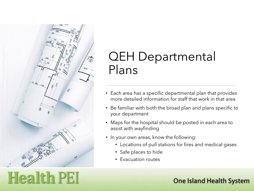

## QEH Departmental Plans

- Each area has a specific departmental plan that provides more detailed information for staff that work in that area
- Be familiar with both the broad plan and plans specific to your department
- Maps for the hospital should be posted in each area to assist with wayfinding
- In your own areas, know the following:
	- Locations of pull stations for fires and medical gases
	- Safe places to hide
	- Evacuation routes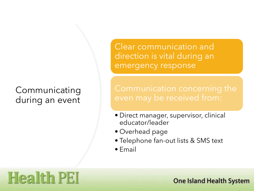### **Communicating** during an event

**Health PEI** 

Clear communication and direction is vital during an emergency response

- Direct manager, supervisor, clinical educator/leader
- Overhead page
- Telephone fan-out lists & SMS text
- Email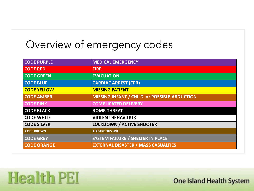## Overview of emergency codes

**Health PEI** 

| <b>CODE PURPLE</b> | <b>MEDICAL EMERGENCY</b>                     |
|--------------------|----------------------------------------------|
| <b>CODE RED</b>    | <b>FIRE</b>                                  |
| <b>CODE GREEN</b>  | <b>EVACUATION</b>                            |
| <b>CODE BLUE</b>   | <b>CARDIAC ARREST (CPR)</b>                  |
| <b>CODE YELLOW</b> | <b>MISSING PATIENT</b>                       |
| <b>CODE AMBER</b>  | MISSING INFANT / CHILD or POSSIBLE ABDUCTION |
| <b>CODE PINK</b>   | <b>COMPLICATED DELIVERY</b>                  |
| <b>CODE BLACK</b>  | <b>BOMB THREAT</b>                           |
| <b>CODE WHITE</b>  | <b>VIOLENT BEHAVIOUR</b>                     |
| <b>CODE SILVER</b> | <b>LOCKDOWN / ACTIVE SHOOTER</b>             |
| <b>CODE BROWN</b>  | <b>HAZARDOUS SPILL</b>                       |
| <b>CODE GREY</b>   | <b>SYSTEM FAILURE / SHELTER IN PLACE</b>     |
| <b>CODE ORANGE</b> | <b>EXTERNAL DISASTER / MASS CASUALTIES</b>   |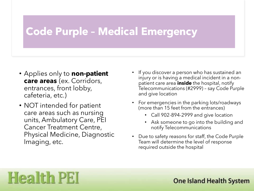### **Code Purple – Medical Emergency**

- Applies only to **non-patient care areas** (ex. Corridors, entrances, front lobby, cafeteria, etc.)
- NOT intended for patient care areas such as nursing units, Ambulatory Care, PEI Cancer Treatment Centre, Physical Medicine, Diagnostic Imaging, etc.

**Health PEI** 

- If you discover a person who has sustained an injury or is having a medical incident in a nonpatient care area **inside** the hospital, notify Telecommunications (#2999) – say Code Purple and give location
- For emergencies in the parking lots/roadways (more than 15 feet from the entrances)
	- Call 902-894-2999 and give location
	- Ask someone to go into the building and notify Telecommunications
- Due to safety reasons for staff, the Code Purple Team will determine the level of response required outside the hospital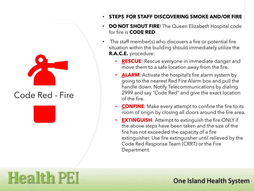

Code Red - Fire

**Health PEI** 

- **STEPS FOR STAFF DISCOVERING SMOKE AND/OR FIRE**
- **DO NOT SHOUT FIRE!** The Queen Elizabeth Hospital code for fire is **CODE RED**.
- The staff member(s) who discovers a fire or potential fire situation within the building should immediately utilize the **R.A.C.E.** procedure:
	- **RESCUE:** Rescue everyone in immediate danger and move them to a safe location away from the fire.
	- **ALARM**: Activate the hospital's fire alarm system by going to the nearest Red Fire Alarm box and pull the handle down. Notify Telecommunications by dialing 2999 and say "Code Red" and give the exact location of the fire.
	- **CONFINE:** Make every attempt to confine the fire to its room of origin by closing all doors around the fire area.
	- **EXTINGUISH**: Attempt to extinguish the fire ONLY if the above steps have been taken and the size of the fire has not exceeded the capacity of a fire extinguisher. Use fire extinguisher until relieved by the Code Red Response Team (CRRT) or the Fire Department.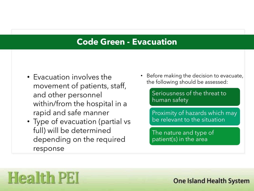### **Code Green - Evacuation**

- Evacuation involves the movement of patients, staff, and other personnel within/from the hospital in a rapid and safe manner
- Type of evacuation (partial vs full) will be determined depending on the required response

• Before making the decision to evacuate, the following should be assessed:

> Seriousness of the threat to human safety

Proximity of hazards which may be relevant to the situation

The nature and type of patient(s) in the area

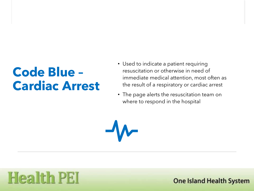## **Code Blue – Cardiac Arrest**

- Used to indicate a patient requiring resuscitation or otherwise in need of immediate medical attention, most often as the result of a respiratory or cardiac arrest
- The page alerts the resuscitation team on where to respond in the hospital

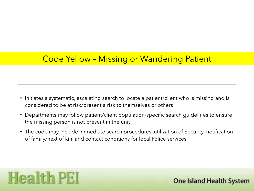### Code Yellow – Missing or Wandering Patient

- Initiates a systematic, escalating search to locate a patient/client who is missing and is considered to be at risk/present a risk to themselves or others
- Departments may follow patient/client population-specific search guidelines to ensure the missing person is not present in the unit
- The code may include immediate search procedures, utilization of Security, notification of family/next of kin, and contact conditions for local Police services

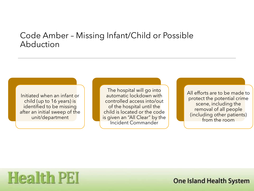### Code Amber – Missing Infant/Child or Possible Abduction

Initiated when an infant or child (up to 16 years) is identified to be missing after an initial sweep of the unit/department

The hospital will go into automatic lockdown with controlled access into/out of the hospital until the child is located or the code is given an "All Clear" by the Incident Commander

All efforts are to be made to protect the potential crime scene, including the removal of all people (including other patients) from the room

## **Health PEI**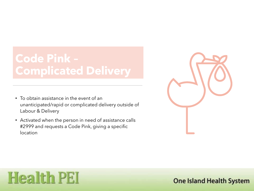## **Code Pink – Complicated Delivery**

- To obtain assistance in the event of an unanticipated/rapid or complicated delivery outside of Labour & Delivery
- Activated when the person in need of assistance calls #2999 and requests a Code Pink, giving a specific location



## **Health PEI**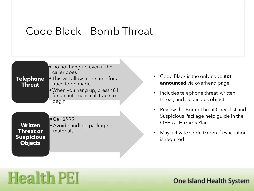### Code Black – Bomb Threat



- Code Black is the only code **not announced** via overhead page
- Includes telephone threat, written threat, and suspicious object
- Review the Bomb Threat Checklist and Suspicious Package help guide in the QEH All Hazards Plan
- May activate Code Green if evacuation

## **Health PEI**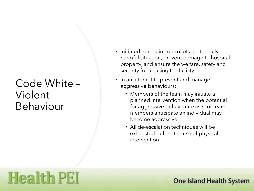## Code White – Violent Behaviour

**Health PEI** 

- Initiated to regain control of a potentially harmful situation, prevent damage to hospital property, and ensure the welfare, safety and security for all using the facility
- In an attempt to prevent and manage aggressive behaviours:
	- Members of the team may initiate a planned intervention when the potential for aggressive behaviour exists, or team members anticipate an individual may become aggressive
	- All de-escalation techniques will be exhausted before the use of physical intervention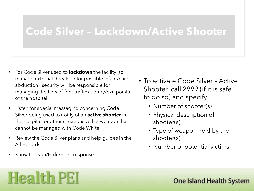### **Code Silver – Lockdown/Active Shooter**

- For Code Silver used to **lockdown** the facility (to manage external threats or for possible infant/child abduction), security will be responsible for managing the flow of foot traffic at entry/exit points of the hospital
- Listen for special messaging concerning Code Silver being used to notify of an **active shooter** in the hospital, or other situations with a weapon that cannot be managed with Code White
- Review the Code Silver plans and help guides in the All Hazards
- Know the Run/Hide/Fight response
- To activate Code Silver Active Shooter, call 2999 (if it is safe to do so) and specify:
	- Number of shooter(s)
	- Physical description of shooter(s)
	- Type of weapon held by the shooter(s)
	- Number of potential victims

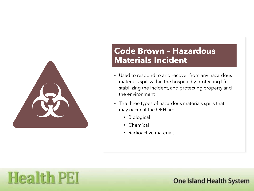

### **Code Brown – Hazardous Materials Incident**

- Used to respond to and recover from any hazardous materials spill within the hospital by protecting life, stabilizing the incident, and protecting property and the environment
- The three types of hazardous materials spills that may occur at the QEH are:
	- Biological
	- Chemical
	- Radioactive materials

## **Health PEI**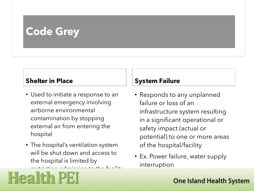## **Code Grey**

#### **Shelter in Place**

- Used to initiate a response to an external emergency involving airborne environmental contamination by stopping external air from entering the hospital
- The hospital's ventilation system will be shut down and access to the hospital is limited by

restriction admission to the facility.<br>

#### **System Failure**

- Responds to any unplanned failure or loss of an infrastructure system resulting in a significant operational or safety impact (actual or potential) to one or more areas of the hospital/facility
- Ex. Power failure, water supply interruption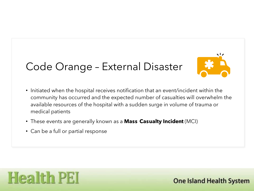## Code Orange – External Disaster



- Initiated when the hospital receives notification that an event/incident within the community has occurred and the expected number of casualties will overwhelm the available resources of the hospital with a sudden surge in volume of trauma or medical patients
- These events are generally known as a **Mass Casualty Incident** (MCI)
- Can be a full or partial response

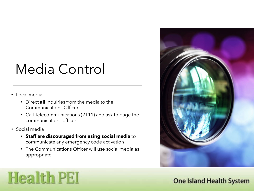## Media Control

- Local media
	- Direct **all** inquiries from the media to the Communications Officer
	- Call Telecommunications (2111) and ask to page the communications officer
- Social media

**Health PEI** 

- **Staff are discouraged from using social media** to communicate any emergency code activation
- The Communications Officer will use social media as appropriate